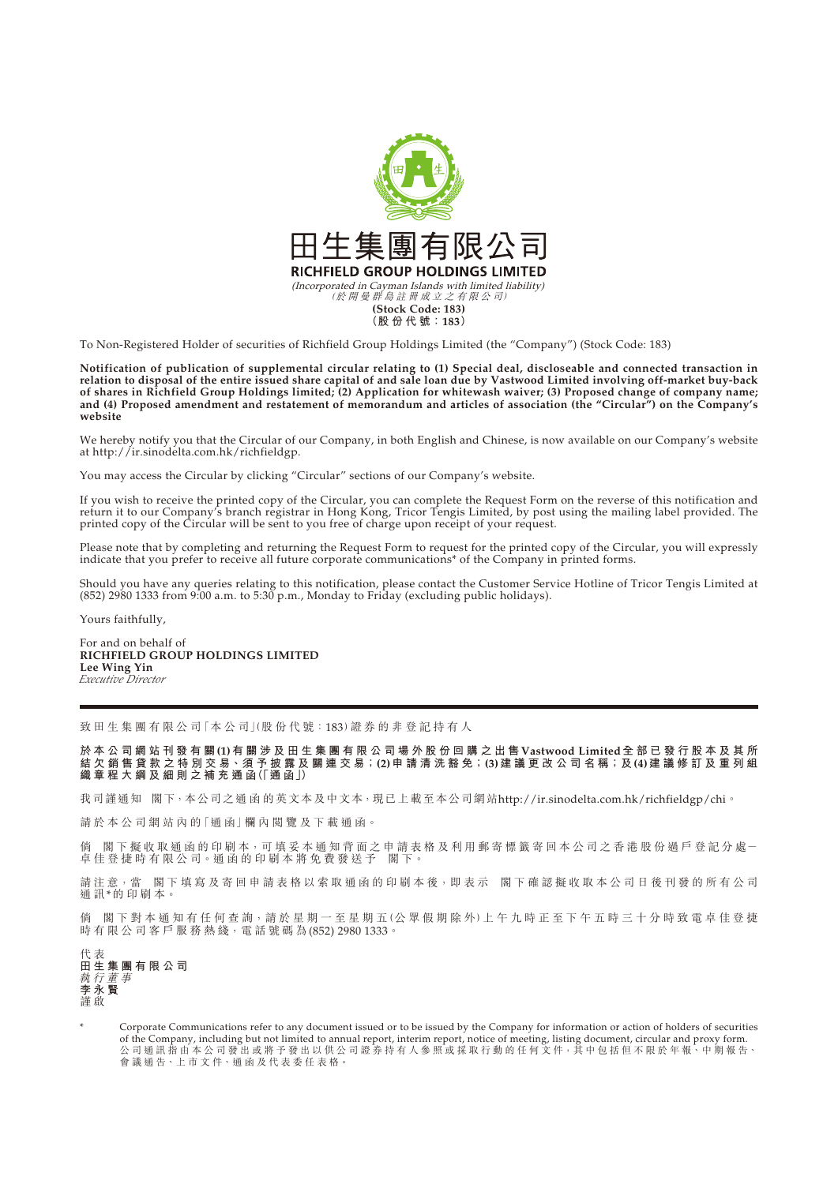

To Non-Registered Holder of securities of Richfield Group Holdings Limited (the "Company") (Stock Code: 183)

**Notification of publication of supplemental circular relating to (1) Special deal, discloseable and connected transaction in relation to disposal of the entire issued share capital of and sale loan due by Vastwood Limited involving off-market buy-back of shares in Richfield Group Holdings limited; (2) Application for whitewash waiver; (3) Proposed change of company name; and (4) Proposed amendment and restatement of memorandum and articles of association (the "Circular") on the Company's website**

We hereby notify you that the Circular of our Company, in both English and Chinese, is now available on our Company's website at http://ir.sinodelta.com.hk/richfieldgp.

You may access the Circular by clicking "Circular" sections of our Company's website.

If you wish to receive the printed copy of the Circular, you can complete the Request Form on the reverse of this notification and return it to our Company's branch registrar in Hong Kong, Tricor Tengis Limited, by post using the mailing label provided. The printed copy of the Circular will be sent to you free of charge upon receipt of your request.

Please note that by completing and returning the Request Form to request for the printed copy of the Circular, you will expressly indicate that you prefer to receive all future corporate communications\* of the Company in printed forms.

Should you have any queries relating to this notification, please contact the Customer Service Hotline of Tricor Tengis Limited at (852) 2980 1333 from 9:00 a.m. to 5:30 p.m., Monday to Friday (excluding public holidays).

Yours faithfully,

For and on behalf of **RICHFIELD GROUP HOLDINGS LIMITED Lee Wing Yin** *Executive Director*

致 田 生 集 團 有 限 公 司「本 公 司」(股 份 代 號 : 183) 證 券 的 非 登 記 持 有 人

**於本公司網站刊發有關(1)有關涉及田生集團有限公司場外股份回購之出售Vastwood Limited全部已發行股本及其所 結 欠 銷 售 貸 款 之 特 別 交 易、須 予 披 露 及 關 連 交 易;(2)申 請 清 洗 豁 免;(3)建 議 更 改 公 司 名 稱;及(4)建議修訂及重列組 織章程大綱及細則之補充通函(「通 函」)**

我司謹通知 閣下,本公司之通 函 的英文本及中文本,現已上載至本公司網站http://ir.sinodelta.com.hk/richfieldgp/chi。

請 於 本 公 司 網 站 內 的「通 函」欄 內 閱 覽 及 下 載 通 函。

倘 閣下 擬收取 通 函 的 印 刷 本,可 填 妥 本 通 知 背 面 之 申 請 表 格 及 利 用 郵 寄 標 籤 寄 回 本 公 司 之 香 港 股 份 過 戶 登 記 分 處 一 卓 佳 登 捷 時 有 限 公 司。通 函 的 印 刷 本 將 免 費 發 送 予 閣 下。

閣下填寫及寄回申請表格以索取通函的印刷本後,即表示 閣下確認擬收取本公司日後刊發的所有公司 請注意,當 閣7<br>通訊\*的印刷本。

倘 閣 下 對 本 通 知 有 任 何 査 詢,請 於 星 期 一 至 星 期 五 (公 眾 假 期 除 外)上 午 九 時 正 至 下 午 五 時 三 十 分 時 致 電 卓 佳 登 捷 時 有 限 公 司 客 戶 服 務 熱 綫, 電 話 號 碼 為 (852) 2980 1333。

代 表 **田生集團有限公司** 執行董事 **李永賢** 謹 啟

Corporate Communications refer to any document issued or to be issued by the Company for information or action of holders of securities of the Company, including but not limited to annual report, interim report, notice of meeting, listing document, circular and proxy form. 公 司 通 計 指 由 本 公 司 發 出 或 將 予 發 出 以 供 公 司 證 券 持 有 人 參 照 或 採 取 行 動 的 任 何 文 件,其 中 包 括 但 不 限 於 年 報、中 期 報 告、 會 議 通 告、上 市 文 件、通 函 及 代 表 委 任 表 格。